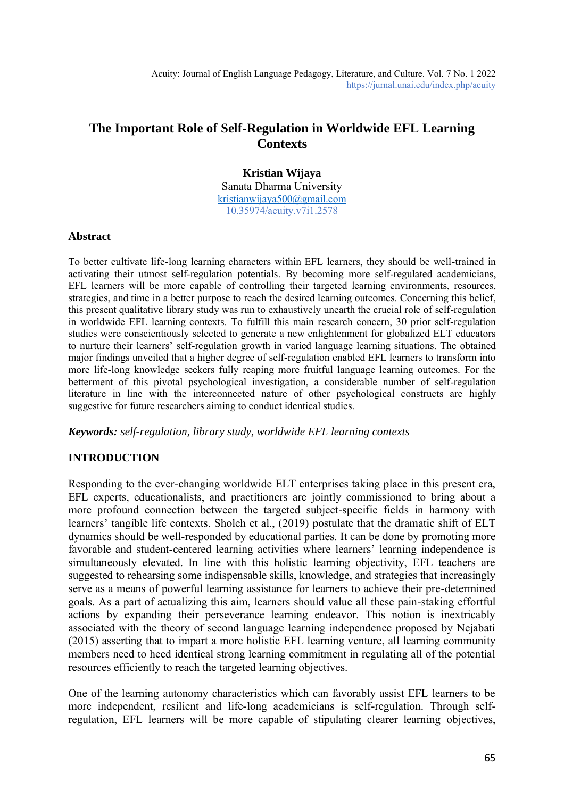# **The Important Role of Self-Regulation in Worldwide EFL Learning Contexts**

## **Kristian Wijaya**

Sanata Dharma University [kristianwijaya500@gmail.com](mailto:kristianwijaya500@gmail.com) 10.35974/acuity.v7i1.2578

#### **Abstract**

To better cultivate life-long learning characters within EFL learners, they should be well-trained in activating their utmost self-regulation potentials. By becoming more self-regulated academicians, EFL learners will be more capable of controlling their targeted learning environments, resources, strategies, and time in a better purpose to reach the desired learning outcomes. Concerning this belief, this present qualitative library study was run to exhaustively unearth the crucial role of self-regulation in worldwide EFL learning contexts. To fulfill this main research concern, 30 prior self-regulation studies were conscientiously selected to generate a new enlightenment for globalized ELT educators to nurture their learners' self-regulation growth in varied language learning situations. The obtained major findings unveiled that a higher degree of self-regulation enabled EFL learners to transform into more life-long knowledge seekers fully reaping more fruitful language learning outcomes. For the betterment of this pivotal psychological investigation, a considerable number of self-regulation literature in line with the interconnected nature of other psychological constructs are highly suggestive for future researchers aiming to conduct identical studies.

*Keywords: self-regulation, library study, worldwide EFL learning contexts*

## **INTRODUCTION**

Responding to the ever-changing worldwide ELT enterprises taking place in this present era, EFL experts, educationalists, and practitioners are jointly commissioned to bring about a more profound connection between the targeted subject-specific fields in harmony with learners' tangible life contexts. Sholeh et al., (2019) postulate that the dramatic shift of ELT dynamics should be well-responded by educational parties. It can be done by promoting more favorable and student-centered learning activities where learners' learning independence is simultaneously elevated. In line with this holistic learning objectivity, EFL teachers are suggested to rehearsing some indispensable skills, knowledge, and strategies that increasingly serve as a means of powerful learning assistance for learners to achieve their pre-determined goals. As a part of actualizing this aim, learners should value all these pain-staking effortful actions by expanding their perseverance learning endeavor. This notion is inextricably associated with the theory of second language learning independence proposed by Nejabati (2015) asserting that to impart a more holistic EFL learning venture, all learning community members need to heed identical strong learning commitment in regulating all of the potential resources efficiently to reach the targeted learning objectives.

One of the learning autonomy characteristics which can favorably assist EFL learners to be more independent, resilient and life-long academicians is self-regulation. Through selfregulation, EFL learners will be more capable of stipulating clearer learning objectives,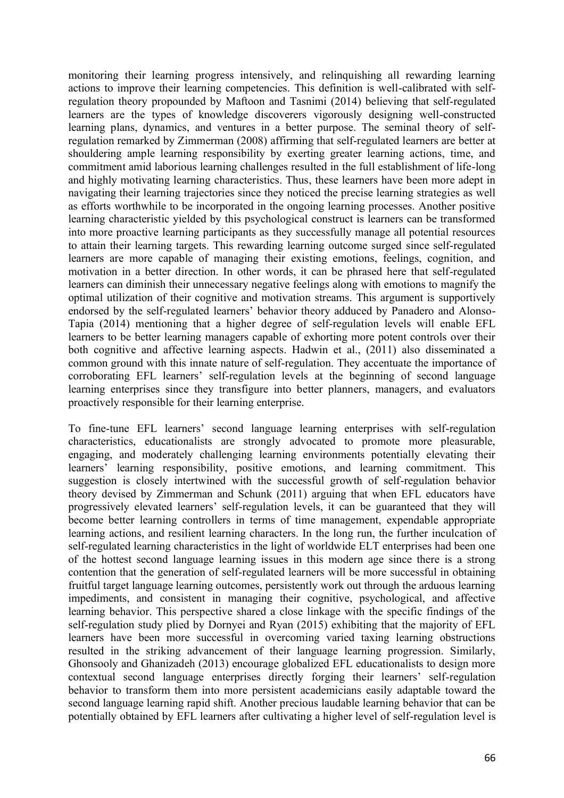monitoring their learning progress intensively, and relinquishing all rewarding learning actions to improve their learning competencies. This definition is well-calibrated with selfregulation theory propounded by Maftoon and Tasnimi (2014) believing that self-regulated learners are the types of knowledge discoverers vigorously designing well-constructed learning plans, dynamics, and ventures in a better purpose. The seminal theory of selfregulation remarked by Zimmerman (2008) affirming that self-regulated learners are better at shouldering ample learning responsibility by exerting greater learning actions, time, and commitment amid laborious learning challenges resulted in the full establishment of life-long and highly motivating learning characteristics. Thus, these learners have been more adept in navigating their learning trajectories since they noticed the precise learning strategies as well as efforts worthwhile to be incorporated in the ongoing learning processes. Another positive learning characteristic yielded by this psychological construct is learners can be transformed into more proactive learning participants as they successfully manage all potential resources to attain their learning targets. This rewarding learning outcome surged since self-regulated learners are more capable of managing their existing emotions, feelings, cognition, and motivation in a better direction. In other words, it can be phrased here that self-regulated learners can diminish their unnecessary negative feelings along with emotions to magnify the optimal utilization of their cognitive and motivation streams. This argument is supportively endorsed by the self-regulated learners' behavior theory adduced by Panadero and Alonso-Tapia (2014) mentioning that a higher degree of self-regulation levels will enable EFL learners to be better learning managers capable of exhorting more potent controls over their both cognitive and affective learning aspects. Hadwin et al., (2011) also disseminated a common ground with this innate nature of self-regulation. They accentuate the importance of corroborating EFL learners' self-regulation levels at the beginning of second language learning enterprises since they transfigure into better planners, managers, and evaluators proactively responsible for their learning enterprise.

To fine-tune EFL learners' second language learning enterprises with self-regulation characteristics, educationalists are strongly advocated to promote more pleasurable, engaging, and moderately challenging learning environments potentially elevating their learners' learning responsibility, positive emotions, and learning commitment. This suggestion is closely intertwined with the successful growth of self-regulation behavior theory devised by Zimmerman and Schunk (2011) arguing that when EFL educators have progressively elevated learners' self-regulation levels, it can be guaranteed that they will become better learning controllers in terms of time management, expendable appropriate learning actions, and resilient learning characters. In the long run, the further inculcation of self-regulated learning characteristics in the light of worldwide ELT enterprises had been one of the hottest second language learning issues in this modern age since there is a strong contention that the generation of self-regulated learners will be more successful in obtaining fruitful target language learning outcomes, persistently work out through the arduous learning impediments, and consistent in managing their cognitive, psychological, and affective learning behavior. This perspective shared a close linkage with the specific findings of the self-regulation study plied by Dornyei and Ryan (2015) exhibiting that the majority of EFL learners have been more successful in overcoming varied taxing learning obstructions resulted in the striking advancement of their language learning progression. Similarly, Ghonsooly and Ghanizadeh (2013) encourage globalized EFL educationalists to design more contextual second language enterprises directly forging their learners' self-regulation behavior to transform them into more persistent academicians easily adaptable toward the second language learning rapid shift. Another precious laudable learning behavior that can be potentially obtained by EFL learners after cultivating a higher level of self-regulation level is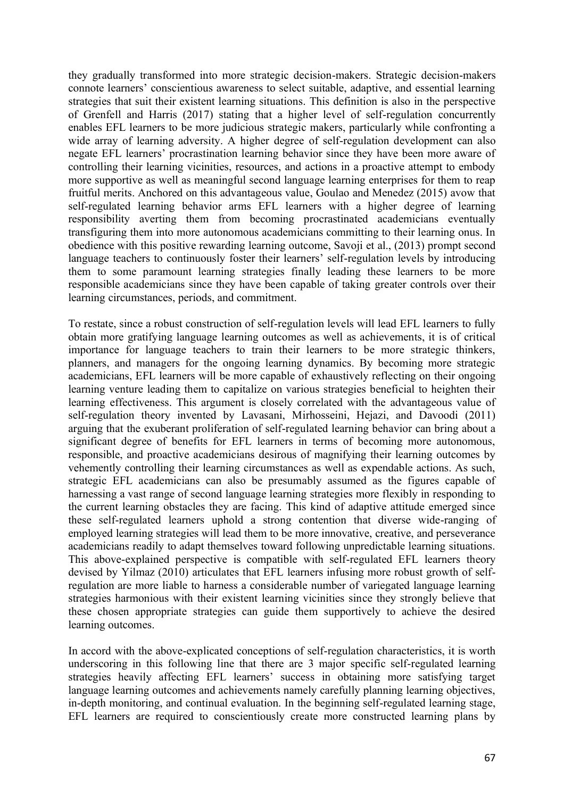they gradually transformed into more strategic decision-makers. Strategic decision-makers connote learners' conscientious awareness to select suitable, adaptive, and essential learning strategies that suit their existent learning situations. This definition is also in the perspective of Grenfell and Harris (2017) stating that a higher level of self-regulation concurrently enables EFL learners to be more judicious strategic makers, particularly while confronting a wide array of learning adversity. A higher degree of self-regulation development can also negate EFL learners' procrastination learning behavior since they have been more aware of controlling their learning vicinities, resources, and actions in a proactive attempt to embody more supportive as well as meaningful second language learning enterprises for them to reap fruitful merits. Anchored on this advantageous value, Goulao and Menedez (2015) avow that self-regulated learning behavior arms EFL learners with a higher degree of learning responsibility averting them from becoming procrastinated academicians eventually transfiguring them into more autonomous academicians committing to their learning onus. In obedience with this positive rewarding learning outcome, Savoji et al., (2013) prompt second language teachers to continuously foster their learners' self-regulation levels by introducing them to some paramount learning strategies finally leading these learners to be more responsible academicians since they have been capable of taking greater controls over their learning circumstances, periods, and commitment.

To restate, since a robust construction of self-regulation levels will lead EFL learners to fully obtain more gratifying language learning outcomes as well as achievements, it is of critical importance for language teachers to train their learners to be more strategic thinkers, planners, and managers for the ongoing learning dynamics. By becoming more strategic academicians, EFL learners will be more capable of exhaustively reflecting on their ongoing learning venture leading them to capitalize on various strategies beneficial to heighten their learning effectiveness. This argument is closely correlated with the advantageous value of self-regulation theory invented by Lavasani, Mirhosseini, Hejazi, and Davoodi (2011) arguing that the exuberant proliferation of self-regulated learning behavior can bring about a significant degree of benefits for EFL learners in terms of becoming more autonomous, responsible, and proactive academicians desirous of magnifying their learning outcomes by vehemently controlling their learning circumstances as well as expendable actions. As such, strategic EFL academicians can also be presumably assumed as the figures capable of harnessing a vast range of second language learning strategies more flexibly in responding to the current learning obstacles they are facing. This kind of adaptive attitude emerged since these self-regulated learners uphold a strong contention that diverse wide-ranging of employed learning strategies will lead them to be more innovative, creative, and perseverance academicians readily to adapt themselves toward following unpredictable learning situations. This above-explained perspective is compatible with self-regulated EFL learners theory devised by Yilmaz (2010) articulates that EFL learners infusing more robust growth of selfregulation are more liable to harness a considerable number of variegated language learning strategies harmonious with their existent learning vicinities since they strongly believe that these chosen appropriate strategies can guide them supportively to achieve the desired learning outcomes.

In accord with the above-explicated conceptions of self-regulation characteristics, it is worth underscoring in this following line that there are 3 major specific self-regulated learning strategies heavily affecting EFL learners' success in obtaining more satisfying target language learning outcomes and achievements namely carefully planning learning objectives, in-depth monitoring, and continual evaluation. In the beginning self-regulated learning stage, EFL learners are required to conscientiously create more constructed learning plans by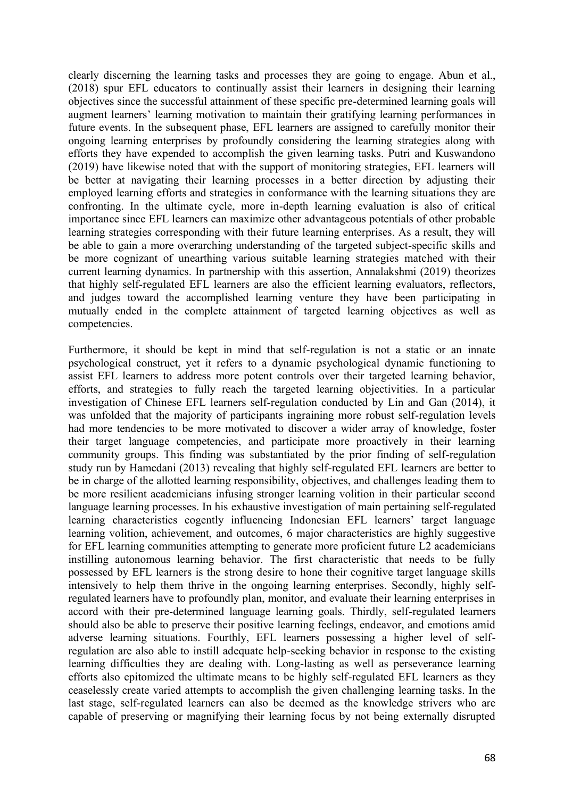clearly discerning the learning tasks and processes they are going to engage. Abun et al., (2018) spur EFL educators to continually assist their learners in designing their learning objectives since the successful attainment of these specific pre-determined learning goals will augment learners' learning motivation to maintain their gratifying learning performances in future events. In the subsequent phase, EFL learners are assigned to carefully monitor their ongoing learning enterprises by profoundly considering the learning strategies along with efforts they have expended to accomplish the given learning tasks. Putri and Kuswandono (2019) have likewise noted that with the support of monitoring strategies, EFL learners will be better at navigating their learning processes in a better direction by adjusting their employed learning efforts and strategies in conformance with the learning situations they are confronting. In the ultimate cycle, more in-depth learning evaluation is also of critical importance since EFL learners can maximize other advantageous potentials of other probable learning strategies corresponding with their future learning enterprises. As a result, they will be able to gain a more overarching understanding of the targeted subject-specific skills and be more cognizant of unearthing various suitable learning strategies matched with their current learning dynamics. In partnership with this assertion, Annalakshmi (2019) theorizes that highly self-regulated EFL learners are also the efficient learning evaluators, reflectors, and judges toward the accomplished learning venture they have been participating in mutually ended in the complete attainment of targeted learning objectives as well as competencies.

Furthermore, it should be kept in mind that self-regulation is not a static or an innate psychological construct, yet it refers to a dynamic psychological dynamic functioning to assist EFL learners to address more potent controls over their targeted learning behavior, efforts, and strategies to fully reach the targeted learning objectivities. In a particular investigation of Chinese EFL learners self-regulation conducted by Lin and Gan (2014), it was unfolded that the majority of participants ingraining more robust self-regulation levels had more tendencies to be more motivated to discover a wider array of knowledge, foster their target language competencies, and participate more proactively in their learning community groups. This finding was substantiated by the prior finding of self-regulation study run by Hamedani (2013) revealing that highly self-regulated EFL learners are better to be in charge of the allotted learning responsibility, objectives, and challenges leading them to be more resilient academicians infusing stronger learning volition in their particular second language learning processes. In his exhaustive investigation of main pertaining self-regulated learning characteristics cogently influencing Indonesian EFL learners' target language learning volition, achievement, and outcomes, 6 major characteristics are highly suggestive for EFL learning communities attempting to generate more proficient future L2 academicians instilling autonomous learning behavior. The first characteristic that needs to be fully possessed by EFL learners is the strong desire to hone their cognitive target language skills intensively to help them thrive in the ongoing learning enterprises. Secondly, highly selfregulated learners have to profoundly plan, monitor, and evaluate their learning enterprises in accord with their pre-determined language learning goals. Thirdly, self-regulated learners should also be able to preserve their positive learning feelings, endeavor, and emotions amid adverse learning situations. Fourthly, EFL learners possessing a higher level of selfregulation are also able to instill adequate help-seeking behavior in response to the existing learning difficulties they are dealing with. Long-lasting as well as perseverance learning efforts also epitomized the ultimate means to be highly self-regulated EFL learners as they ceaselessly create varied attempts to accomplish the given challenging learning tasks. In the last stage, self-regulated learners can also be deemed as the knowledge strivers who are capable of preserving or magnifying their learning focus by not being externally disrupted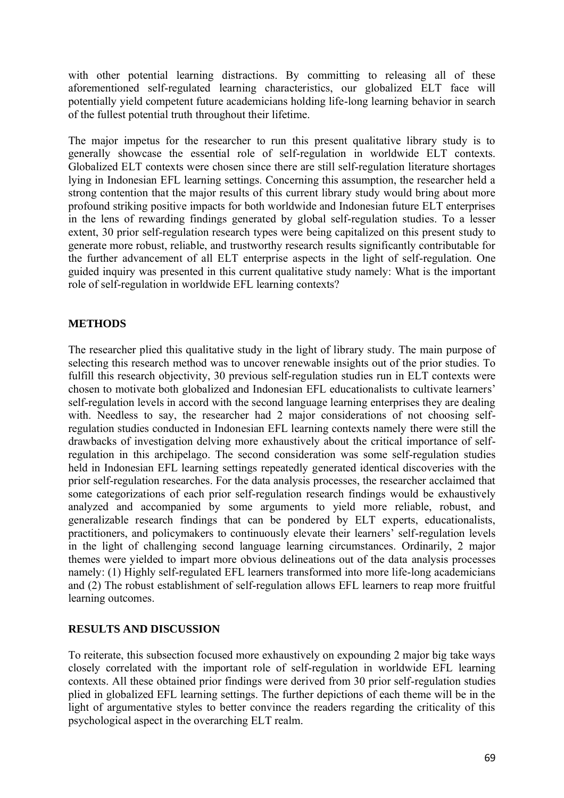with other potential learning distractions. By committing to releasing all of these aforementioned self-regulated learning characteristics, our globalized ELT face will potentially yield competent future academicians holding life-long learning behavior in search of the fullest potential truth throughout their lifetime.

The major impetus for the researcher to run this present qualitative library study is to generally showcase the essential role of self-regulation in worldwide ELT contexts. Globalized ELT contexts were chosen since there are still self-regulation literature shortages lying in Indonesian EFL learning settings. Concerning this assumption, the researcher held a strong contention that the major results of this current library study would bring about more profound striking positive impacts for both worldwide and Indonesian future ELT enterprises in the lens of rewarding findings generated by global self-regulation studies. To a lesser extent, 30 prior self-regulation research types were being capitalized on this present study to generate more robust, reliable, and trustworthy research results significantly contributable for the further advancement of all ELT enterprise aspects in the light of self-regulation. One guided inquiry was presented in this current qualitative study namely: What is the important role of self-regulation in worldwide EFL learning contexts?

## **METHODS**

The researcher plied this qualitative study in the light of library study. The main purpose of selecting this research method was to uncover renewable insights out of the prior studies. To fulfill this research objectivity, 30 previous self-regulation studies run in ELT contexts were chosen to motivate both globalized and Indonesian EFL educationalists to cultivate learners' self-regulation levels in accord with the second language learning enterprises they are dealing with. Needless to say, the researcher had 2 major considerations of not choosing selfregulation studies conducted in Indonesian EFL learning contexts namely there were still the drawbacks of investigation delving more exhaustively about the critical importance of selfregulation in this archipelago. The second consideration was some self-regulation studies held in Indonesian EFL learning settings repeatedly generated identical discoveries with the prior self-regulation researches. For the data analysis processes, the researcher acclaimed that some categorizations of each prior self-regulation research findings would be exhaustively analyzed and accompanied by some arguments to yield more reliable, robust, and generalizable research findings that can be pondered by ELT experts, educationalists, practitioners, and policymakers to continuously elevate their learners' self-regulation levels in the light of challenging second language learning circumstances. Ordinarily, 2 major themes were yielded to impart more obvious delineations out of the data analysis processes namely: (1) Highly self-regulated EFL learners transformed into more life-long academicians and (2) The robust establishment of self-regulation allows EFL learners to reap more fruitful learning outcomes.

#### **RESULTS AND DISCUSSION**

To reiterate, this subsection focused more exhaustively on expounding 2 major big take ways closely correlated with the important role of self-regulation in worldwide EFL learning contexts. All these obtained prior findings were derived from 30 prior self-regulation studies plied in globalized EFL learning settings. The further depictions of each theme will be in the light of argumentative styles to better convince the readers regarding the criticality of this psychological aspect in the overarching ELT realm.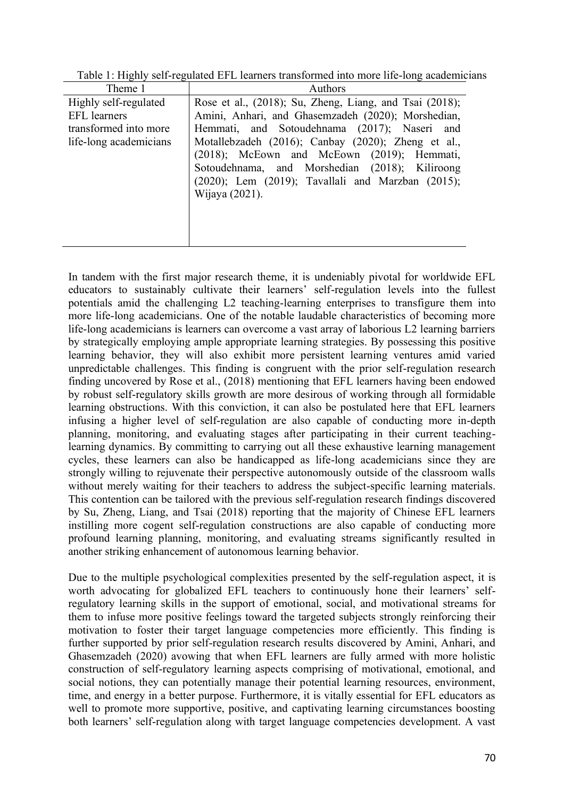| Theme 1                | Authors                                                                                          |
|------------------------|--------------------------------------------------------------------------------------------------|
| Highly self-regulated  | Rose et al., (2018); Su, Zheng, Liang, and Tsai (2018);                                          |
| <b>EFL</b> learners    | Amini, Anhari, and Ghasemzadeh (2020); Morshedian,                                               |
| transformed into more  | Hemmati, and Sotoudehnama (2017); Naseri and                                                     |
| life-long academicians | Motallebzadeh (2016); Canbay (2020); Zheng et al.,<br>(2018); McEown and McEown (2019); Hemmati, |
|                        | Sotoudehnama, and Morshedian (2018); Kiliroong                                                   |
|                        | $(2020)$ ; Lem $(2019)$ ; Tavallali and Marzban $(2015)$ ;                                       |
|                        | Wijaya (2021).                                                                                   |
|                        |                                                                                                  |
|                        |                                                                                                  |
|                        |                                                                                                  |

Table 1: Highly self-regulated EFL learners transformed into more life-long academicians

In tandem with the first major research theme, it is undeniably pivotal for worldwide EFL educators to sustainably cultivate their learners' self-regulation levels into the fullest potentials amid the challenging L2 teaching-learning enterprises to transfigure them into more life-long academicians. One of the notable laudable characteristics of becoming more life-long academicians is learners can overcome a vast array of laborious L2 learning barriers by strategically employing ample appropriate learning strategies. By possessing this positive learning behavior, they will also exhibit more persistent learning ventures amid varied unpredictable challenges. This finding is congruent with the prior self-regulation research finding uncovered by Rose et al., (2018) mentioning that EFL learners having been endowed by robust self-regulatory skills growth are more desirous of working through all formidable learning obstructions. With this conviction, it can also be postulated here that EFL learners infusing a higher level of self-regulation are also capable of conducting more in-depth planning, monitoring, and evaluating stages after participating in their current teachinglearning dynamics. By committing to carrying out all these exhaustive learning management cycles, these learners can also be handicapped as life-long academicians since they are strongly willing to rejuvenate their perspective autonomously outside of the classroom walls without merely waiting for their teachers to address the subject-specific learning materials. This contention can be tailored with the previous self-regulation research findings discovered by Su, Zheng, Liang, and Tsai (2018) reporting that the majority of Chinese EFL learners instilling more cogent self-regulation constructions are also capable of conducting more profound learning planning, monitoring, and evaluating streams significantly resulted in another striking enhancement of autonomous learning behavior.

Due to the multiple psychological complexities presented by the self-regulation aspect, it is worth advocating for globalized EFL teachers to continuously hone their learners' selfregulatory learning skills in the support of emotional, social, and motivational streams for them to infuse more positive feelings toward the targeted subjects strongly reinforcing their motivation to foster their target language competencies more efficiently. This finding is further supported by prior self-regulation research results discovered by Amini, Anhari, and Ghasemzadeh (2020) avowing that when EFL learners are fully armed with more holistic construction of self-regulatory learning aspects comprising of motivational, emotional, and social notions, they can potentially manage their potential learning resources, environment, time, and energy in a better purpose. Furthermore, it is vitally essential for EFL educators as well to promote more supportive, positive, and captivating learning circumstances boosting both learners' self-regulation along with target language competencies development. A vast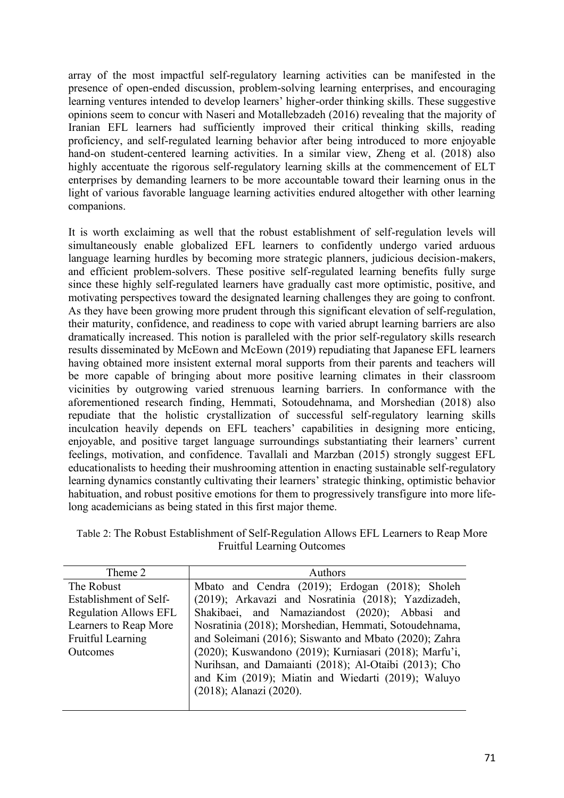array of the most impactful self-regulatory learning activities can be manifested in the presence of open-ended discussion, problem-solving learning enterprises, and encouraging learning ventures intended to develop learners' higher-order thinking skills. These suggestive opinions seem to concur with Naseri and Motallebzadeh (2016) revealing that the majority of Iranian EFL learners had sufficiently improved their critical thinking skills, reading proficiency, and self-regulated learning behavior after being introduced to more enjoyable hand-on student-centered learning activities. In a similar view, Zheng et al. (2018) also highly accentuate the rigorous self-regulatory learning skills at the commencement of ELT enterprises by demanding learners to be more accountable toward their learning onus in the light of various favorable language learning activities endured altogether with other learning companions.

It is worth exclaiming as well that the robust establishment of self-regulation levels will simultaneously enable globalized EFL learners to confidently undergo varied arduous language learning hurdles by becoming more strategic planners, judicious decision-makers, and efficient problem-solvers. These positive self-regulated learning benefits fully surge since these highly self-regulated learners have gradually cast more optimistic, positive, and motivating perspectives toward the designated learning challenges they are going to confront. As they have been growing more prudent through this significant elevation of self-regulation, their maturity, confidence, and readiness to cope with varied abrupt learning barriers are also dramatically increased. This notion is paralleled with the prior self-regulatory skills research results disseminated by McEown and McEown (2019) repudiating that Japanese EFL learners having obtained more insistent external moral supports from their parents and teachers will be more capable of bringing about more positive learning climates in their classroom vicinities by outgrowing varied strenuous learning barriers. In conformance with the aforementioned research finding, Hemmati, Sotoudehnama, and Morshedian (2018) also repudiate that the holistic crystallization of successful self-regulatory learning skills inculcation heavily depends on EFL teachers' capabilities in designing more enticing, enjoyable, and positive target language surroundings substantiating their learners' current feelings, motivation, and confidence. Tavallali and Marzban (2015) strongly suggest EFL educationalists to heeding their mushrooming attention in enacting sustainable self-regulatory learning dynamics constantly cultivating their learners' strategic thinking, optimistic behavior habituation, and robust positive emotions for them to progressively transfigure into more lifelong academicians as being stated in this first major theme.

Table 2: The Robust Establishment of Self-Regulation Allows EFL Learners to Reap More Fruitful Learning Outcomes

| Theme 2                      | <b>Authors</b>                                         |
|------------------------------|--------------------------------------------------------|
| The Robust                   | Mbato and Cendra (2019); Erdogan (2018); Sholeh        |
| Establishment of Self-       | (2019); Arkavazi and Nosratinia (2018); Yazdizadeh,    |
| <b>Regulation Allows EFL</b> | Shakibaei, and Namaziandost (2020); Abbasi and         |
| Learners to Reap More        | Nosratinia (2018); Morshedian, Hemmati, Sotoudehnama,  |
| Fruitful Learning            | and Soleimani (2016); Siswanto and Mbato (2020); Zahra |
| Outcomes                     | (2020); Kuswandono (2019); Kurniasari (2018); Marfu'i, |
|                              | Nurihsan, and Damaianti (2018); Al-Otaibi (2013); Cho  |
|                              | and Kim (2019); Miatin and Wiedarti (2019); Waluyo     |
|                              | (2018); Alanazi (2020).                                |
|                              |                                                        |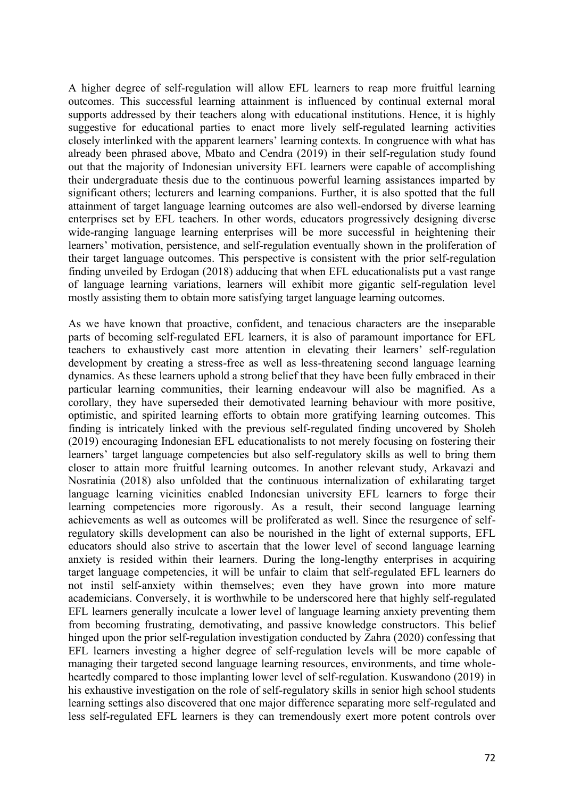A higher degree of self-regulation will allow EFL learners to reap more fruitful learning outcomes. This successful learning attainment is influenced by continual external moral supports addressed by their teachers along with educational institutions. Hence, it is highly suggestive for educational parties to enact more lively self-regulated learning activities closely interlinked with the apparent learners' learning contexts. In congruence with what has already been phrased above, Mbato and Cendra (2019) in their self-regulation study found out that the majority of Indonesian university EFL learners were capable of accomplishing their undergraduate thesis due to the continuous powerful learning assistances imparted by significant others; lecturers and learning companions. Further, it is also spotted that the full attainment of target language learning outcomes are also well-endorsed by diverse learning enterprises set by EFL teachers. In other words, educators progressively designing diverse wide-ranging language learning enterprises will be more successful in heightening their learners' motivation, persistence, and self-regulation eventually shown in the proliferation of their target language outcomes. This perspective is consistent with the prior self-regulation finding unveiled by Erdogan (2018) adducing that when EFL educationalists put a vast range of language learning variations, learners will exhibit more gigantic self-regulation level mostly assisting them to obtain more satisfying target language learning outcomes.

As we have known that proactive, confident, and tenacious characters are the inseparable parts of becoming self-regulated EFL learners, it is also of paramount importance for EFL teachers to exhaustively cast more attention in elevating their learners' self-regulation development by creating a stress-free as well as less-threatening second language learning dynamics. As these learners uphold a strong belief that they have been fully embraced in their particular learning communities, their learning endeavour will also be magnified. As a corollary, they have superseded their demotivated learning behaviour with more positive, optimistic, and spirited learning efforts to obtain more gratifying learning outcomes. This finding is intricately linked with the previous self-regulated finding uncovered by Sholeh (2019) encouraging Indonesian EFL educationalists to not merely focusing on fostering their learners' target language competencies but also self-regulatory skills as well to bring them closer to attain more fruitful learning outcomes. In another relevant study, Arkavazi and Nosratinia (2018) also unfolded that the continuous internalization of exhilarating target language learning vicinities enabled Indonesian university EFL learners to forge their learning competencies more rigorously. As a result, their second language learning achievements as well as outcomes will be proliferated as well. Since the resurgence of selfregulatory skills development can also be nourished in the light of external supports, EFL educators should also strive to ascertain that the lower level of second language learning anxiety is resided within their learners. During the long-lengthy enterprises in acquiring target language competencies, it will be unfair to claim that self-regulated EFL learners do not instil self-anxiety within themselves; even they have grown into more mature academicians. Conversely, it is worthwhile to be underscored here that highly self-regulated EFL learners generally inculcate a lower level of language learning anxiety preventing them from becoming frustrating, demotivating, and passive knowledge constructors. This belief hinged upon the prior self-regulation investigation conducted by Zahra (2020) confessing that EFL learners investing a higher degree of self-regulation levels will be more capable of managing their targeted second language learning resources, environments, and time wholeheartedly compared to those implanting lower level of self-regulation. Kuswandono (2019) in his exhaustive investigation on the role of self-regulatory skills in senior high school students learning settings also discovered that one major difference separating more self-regulated and less self-regulated EFL learners is they can tremendously exert more potent controls over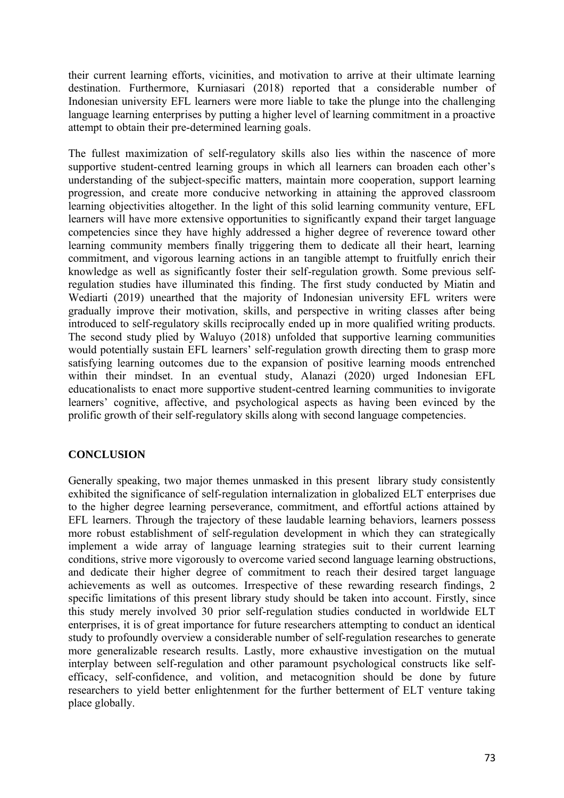their current learning efforts, vicinities, and motivation to arrive at their ultimate learning destination. Furthermore, Kurniasari (2018) reported that a considerable number of Indonesian university EFL learners were more liable to take the plunge into the challenging language learning enterprises by putting a higher level of learning commitment in a proactive attempt to obtain their pre-determined learning goals.

The fullest maximization of self-regulatory skills also lies within the nascence of more supportive student-centred learning groups in which all learners can broaden each other's understanding of the subject-specific matters, maintain more cooperation, support learning progression, and create more conducive networking in attaining the approved classroom learning objectivities altogether. In the light of this solid learning community venture, EFL learners will have more extensive opportunities to significantly expand their target language competencies since they have highly addressed a higher degree of reverence toward other learning community members finally triggering them to dedicate all their heart, learning commitment, and vigorous learning actions in an tangible attempt to fruitfully enrich their knowledge as well as significantly foster their self-regulation growth. Some previous selfregulation studies have illuminated this finding. The first study conducted by Miatin and Wediarti (2019) unearthed that the majority of Indonesian university EFL writers were gradually improve their motivation, skills, and perspective in writing classes after being introduced to self-regulatory skills reciprocally ended up in more qualified writing products. The second study plied by Waluyo (2018) unfolded that supportive learning communities would potentially sustain EFL learners' self-regulation growth directing them to grasp more satisfying learning outcomes due to the expansion of positive learning moods entrenched within their mindset. In an eventual study, Alanazi (2020) urged Indonesian EFL educationalists to enact more supportive student-centred learning communities to invigorate learners' cognitive, affective, and psychological aspects as having been evinced by the prolific growth of their self-regulatory skills along with second language competencies.

## **CONCLUSION**

Generally speaking, two major themes unmasked in this present library study consistently exhibited the significance of self-regulation internalization in globalized ELT enterprises due to the higher degree learning perseverance, commitment, and effortful actions attained by EFL learners. Through the trajectory of these laudable learning behaviors, learners possess more robust establishment of self-regulation development in which they can strategically implement a wide array of language learning strategies suit to their current learning conditions, strive more vigorously to overcome varied second language learning obstructions, and dedicate their higher degree of commitment to reach their desired target language achievements as well as outcomes. Irrespective of these rewarding research findings, 2 specific limitations of this present library study should be taken into account. Firstly, since this study merely involved 30 prior self-regulation studies conducted in worldwide ELT enterprises, it is of great importance for future researchers attempting to conduct an identical study to profoundly overview a considerable number of self-regulation researches to generate more generalizable research results. Lastly, more exhaustive investigation on the mutual interplay between self-regulation and other paramount psychological constructs like selfefficacy, self-confidence, and volition, and metacognition should be done by future researchers to yield better enlightenment for the further betterment of ELT venture taking place globally.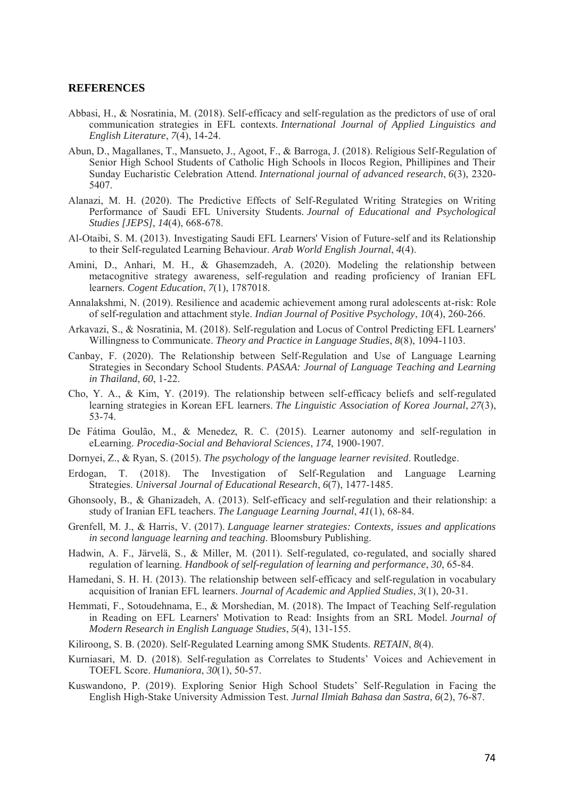#### **REFERENCES**

- Abbasi, H., & Nosratinia, M. (2018). Self-efficacy and self-regulation as the predictors of use of oral communication strategies in EFL contexts. *International Journal of Applied Linguistics and English Literature*, *7*(4), 14-24.
- Abun, D., Magallanes, T., Mansueto, J., Agoot, F., & Barroga, J. (2018). Religious Self-Regulation of Senior High School Students of Catholic High Schools in Ilocos Region, Phillipines and Their Sunday Eucharistic Celebration Attend. *International journal of advanced research*, *6*(3), 2320- 5407.
- Alanazi, M. H. (2020). The Predictive Effects of Self-Regulated Writing Strategies on Writing Performance of Saudi EFL University Students. *Journal of Educational and Psychological Studies [JEPS]*, *14*(4), 668-678.
- Al-Otaibi, S. M. (2013). Investigating Saudi EFL Learners' Vision of Future-self and its Relationship to their Self-regulated Learning Behaviour. *Arab World English Journal*, *4*(4).
- Amini, D., Anhari, M. H., & Ghasemzadeh, A. (2020). Modeling the relationship between metacognitive strategy awareness, self-regulation and reading proficiency of Iranian EFL learners. *Cogent Education*, *7*(1), 1787018.
- Annalakshmi, N. (2019). Resilience and academic achievement among rural adolescents at-risk: Role of self-regulation and attachment style. *Indian Journal of Positive Psychology*, *10*(4), 260-266.
- Arkavazi, S., & Nosratinia, M. (2018). Self-regulation and Locus of Control Predicting EFL Learners' Willingness to Communicate. *Theory and Practice in Language Studies*, *8*(8), 1094-1103.
- Canbay, F. (2020). The Relationship between Self-Regulation and Use of Language Learning Strategies in Secondary School Students. *PASAA: Journal of Language Teaching and Learning in Thailand*, *60*, 1-22.
- Cho, Y. A., & Kim, Y. (2019). The relationship between self-efficacy beliefs and self-regulated learning strategies in Korean EFL learners. *The Linguistic Association of Korea Journal*, *27*(3), 53-74.
- De Fátima Goulão, M., & Menedez, R. C. (2015). Learner autonomy and self-regulation in eLearning. *Procedia-Social and Behavioral Sciences*, *174*, 1900-1907.
- Dornyei, Z., & Ryan, S. (2015). *The psychology of the language learner revisited*. Routledge.
- Erdogan, T. (2018). The Investigation of Self-Regulation and Language Learning Strategies. *Universal Journal of Educational Research*, *6*(7), 1477-1485.
- Ghonsooly, B., & Ghanizadeh, A. (2013). Self-efficacy and self-regulation and their relationship: a study of Iranian EFL teachers. *The Language Learning Journal*, *41*(1), 68-84.
- Grenfell, M. J., & Harris, V. (2017). *Language learner strategies: Contexts, issues and applications in second language learning and teaching*. Bloomsbury Publishing.
- Hadwin, A. F., Järvelä, S., & Miller, M. (2011). Self-regulated, co-regulated, and socially shared regulation of learning. *Handbook of self-regulation of learning and performance*, *30*, 65-84.
- Hamedani, S. H. H. (2013). The relationship between self-efficacy and self-regulation in vocabulary acquisition of Iranian EFL learners. *Journal of Academic and Applied Studies*, *3*(1), 20-31.
- Hemmati, F., Sotoudehnama, E., & Morshedian, M. (2018). The Impact of Teaching Self-regulation in Reading on EFL Learners' Motivation to Read: Insights from an SRL Model. *Journal of Modern Research in English Language Studies*, *5*(4), 131-155.
- Kiliroong, S. B. (2020). Self-Regulated Learning among SMK Students. *RETAIN*, *8*(4).
- Kurniasari, M. D. (2018). Self-regulation as Correlates to Students' Voices and Achievement in TOEFL Score. *Humaniora*, *30*(1), 50-57.
- Kuswandono, P. (2019). Exploring Senior High School Studets' Self-Regulation in Facing the English High-Stake University Admission Test. *Jurnal Ilmiah Bahasa dan Sastra*, *6*(2), 76-87.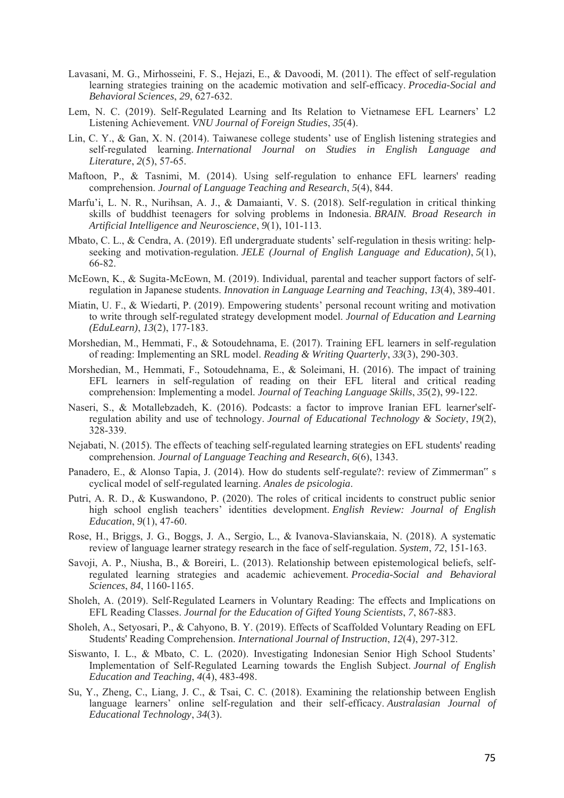- Lavasani, M. G., Mirhosseini, F. S., Hejazi, E., & Davoodi, M. (2011). The effect of self-regulation learning strategies training on the academic motivation and self-efficacy. *Procedia-Social and Behavioral Sciences*, *29*, 627-632.
- Lem, N. C. (2019). Self-Regulated Learning and Its Relation to Vietnamese EFL Learners' L2 Listening Achievement. *VNU Journal of Foreign Studies*, *35*(4).
- Lin, C. Y., & Gan, X. N. (2014). Taiwanese college students' use of English listening strategies and self-regulated learning. *International Journal on Studies in English Language and Literature*, *2*(5), 57-65.
- Maftoon, P., & Tasnimi, M. (2014). Using self-regulation to enhance EFL learners' reading comprehension. *Journal of Language Teaching and Research*, *5*(4), 844.
- Marfu'i, L. N. R., Nurihsan, A. J., & Damaianti, V. S. (2018). Self-regulation in critical thinking skills of buddhist teenagers for solving problems in Indonesia. *BRAIN. Broad Research in Artificial Intelligence and Neuroscience*, *9*(1), 101-113.
- Mbato, C. L., & Cendra, A. (2019). Efl undergraduate students' self-regulation in thesis writing: helpseeking and motivation-regulation. *JELE (Journal of English Language and Education)*, *5*(1), 66-82.
- McEown, K., & Sugita-McEown, M. (2019). Individual, parental and teacher support factors of selfregulation in Japanese students. *Innovation in Language Learning and Teaching*, *13*(4), 389-401.
- Miatin, U. F., & Wiedarti, P. (2019). Empowering students' personal recount writing and motivation to write through self-regulated strategy development model. *Journal of Education and Learning (EduLearn)*, *13*(2), 177-183.
- Morshedian, M., Hemmati, F., & Sotoudehnama, E. (2017). Training EFL learners in self-regulation of reading: Implementing an SRL model. *Reading & Writing Quarterly*, *33*(3), 290-303.
- Morshedian, M., Hemmati, F., Sotoudehnama, E., & Soleimani, H. (2016). The impact of training EFL learners in self-regulation of reading on their EFL literal and critical reading comprehension: Implementing a model. *Journal of Teaching Language Skills*, *35*(2), 99-122.
- Naseri, S., & Motallebzadeh, K. (2016). Podcasts: a factor to improve Iranian EFL learner'selfregulation ability and use of technology. *Journal of Educational Technology & Society*, *19*(2), 328-339.
- Nejabati, N. (2015). The effects of teaching self-regulated learning strategies on EFL students' reading comprehension. *Journal of Language Teaching and Research*, *6*(6), 1343.
- Panadero, E., & Alonso Tapia, J. (2014). How do students self-regulate?: review of Zimmerman" s cyclical model of self-regulated learning. *Anales de psicologia*.
- Putri, A. R. D., & Kuswandono, P. (2020). The roles of critical incidents to construct public senior high school english teachers' identities development. *English Review: Journal of English Education*, *9*(1), 47-60.
- Rose, H., Briggs, J. G., Boggs, J. A., Sergio, L., & Ivanova-Slavianskaia, N. (2018). A systematic review of language learner strategy research in the face of self-regulation. *System*, *72*, 151-163.
- Savoji, A. P., Niusha, B., & Boreiri, L. (2013). Relationship between epistemological beliefs, selfregulated learning strategies and academic achievement. *Procedia-Social and Behavioral Sciences*, *84*, 1160-1165.
- Sholeh, A. (2019). Self-Regulated Learners in Voluntary Reading: The effects and Implications on EFL Reading Classes. *Journal for the Education of Gifted Young Scientists*, *7*, 867-883.
- Sholeh, A., Setyosari, P., & Cahyono, B. Y. (2019). Effects of Scaffolded Voluntary Reading on EFL Students' Reading Comprehension. *International Journal of Instruction*, *12*(4), 297-312.
- Siswanto, I. L., & Mbato, C. L. (2020). Investigating Indonesian Senior High School Students' Implementation of Self-Regulated Learning towards the English Subject. *Journal of English Education and Teaching*, *4*(4), 483-498.
- Su, Y., Zheng, C., Liang, J. C., & Tsai, C. C. (2018). Examining the relationship between English language learners' online self-regulation and their self-efficacy. *Australasian Journal of Educational Technology*, *34*(3).